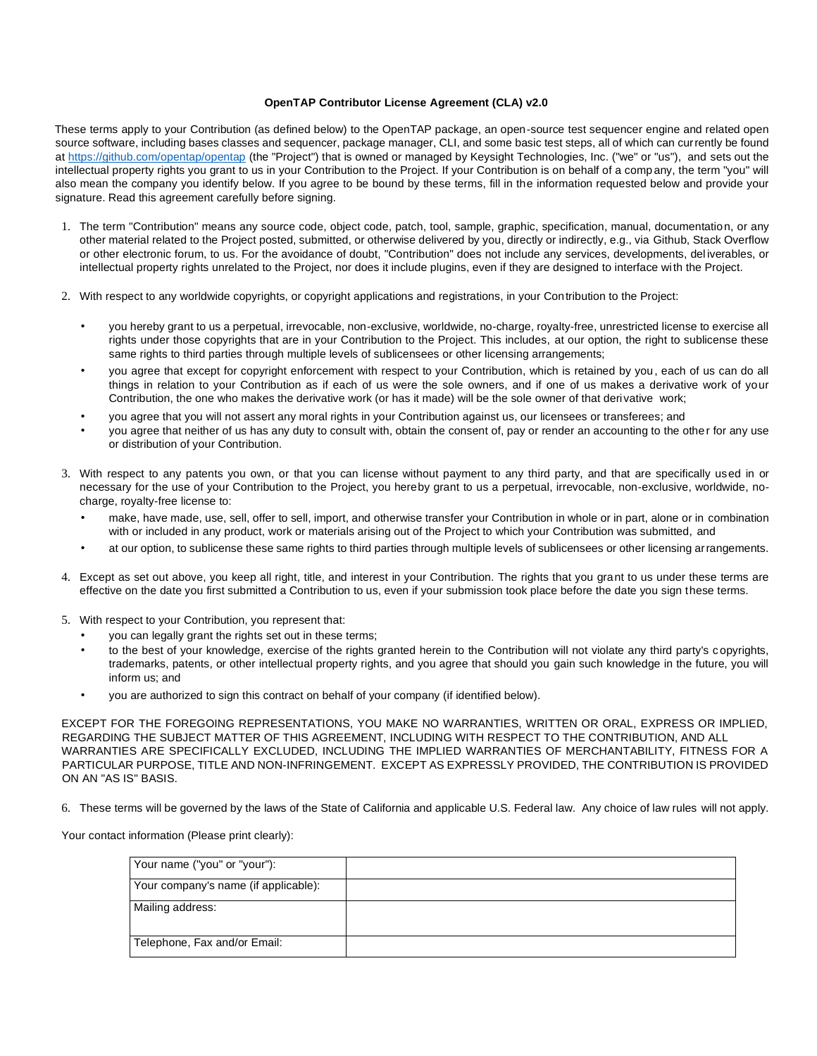## **OpenTAP Contributor License Agreement (CLA) v2.0**

These terms apply to your Contribution (as defined below) to the OpenTAP package, an open-source test sequencer engine and related open source software, including bases classes and sequencer, package manager, CLI, and some basic test steps, all of which can currently be found [at](https://gitlab.com/OpenTAP/opentap) <https://github.com/opentap/opentap> [\(t](https://gitlab.com/OpenTAP/opentap)he "Project") that is owned or managed by Keysight Technologies, Inc. ("we" or "us"), and sets out the intellectual property rights you grant to us in your Contribution to the Project. If your Contribution is on behalf of a comp any, the term "you" will also mean the company you identify below. If you agree to be bound by these terms, fill in the information requested below and provide your signature. Read this agreement carefully before signing.

- 1. The term "Contribution" means any source code, object code, patch, tool, sample, graphic, specification, manual, documentation, or any other material related to the Project posted, submitted, or otherwise delivered by you, directly or indirectly, e.g., via Github, Stack Overflow or other electronic forum, to us. For the avoidance of doubt, "Contribution" does not include any services, developments, del iverables, or intellectual property rights unrelated to the Project, nor does it include plugins, even if they are designed to interface with the Project.
- 2. With respect to any worldwide copyrights, or copyright applications and registrations, in your Contribution to the Project:
	- you hereby grant to us a perpetual, irrevocable, non-exclusive, worldwide, no-charge, royalty-free, unrestricted license to exercise all rights under those copyrights that are in your Contribution to the Project. This includes, at our option, the right to sublicense these same rights to third parties through multiple levels of sublicensees or other licensing arrangements;
	- you agree that except for copyright enforcement with respect to your Contribution, which is retained by you, each of us can do all things in relation to your Contribution as if each of us were the sole owners, and if one of us makes a derivative work of your Contribution, the one who makes the derivative work (or has it made) will be the sole owner of that derivative work;
	- you agree that you will not assert any moral rights in your Contribution against us, our licensees or transferees; and
	- you agree that neither of us has any duty to consult with, obtain the consent of, pay or render an accounting to the othe r for any use or distribution of your Contribution.
- 3. With respect to any patents you own, or that you can license without payment to any third party, and that are specifically used in or necessary for the use of your Contribution to the Project, you hereby grant to us a perpetual, irrevocable, non-exclusive, worldwide, nocharge, royalty-free license to:
	- make, have made, use, sell, offer to sell, import, and otherwise transfer your Contribution in whole or in part, alone or in combination with or included in any product, work or materials arising out of the Project to which your Contribution was submitted, and
	- at our option, to sublicense these same rights to third parties through multiple levels of sublicensees or other licensing arrangements.
- 4. Except as set out above, you keep all right, title, and interest in your Contribution. The rights that you grant to us under these terms are effective on the date you first submitted a Contribution to us, even if your submission took place before the date you sign these terms.
- 5. With respect to your Contribution, you represent that:
	- you can legally grant the rights set out in these terms;
	- to the best of your knowledge, exercise of the rights granted herein to the Contribution will not violate any third party's copyrights, trademarks, patents, or other intellectual property rights, and you agree that should you gain such knowledge in the future, you will inform us; and
	- you are authorized to sign this contract on behalf of your company (if identified below).

EXCEPT FOR THE FOREGOING REPRESENTATIONS, YOU MAKE NO WARRANTIES, WRITTEN OR ORAL, EXPRESS OR IMPLIED, REGARDING THE SUBJECT MATTER OF THIS AGREEMENT, INCLUDING WITH RESPECT TO THE CONTRIBUTION, AND ALL WARRANTIES ARE SPECIFICALLY EXCLUDED, INCLUDING THE IMPLIED WARRANTIES OF MERCHANTABILITY, FITNESS FOR A PARTICULAR PURPOSE, TITLE AND NON-INFRINGEMENT. EXCEPT AS EXPRESSLY PROVIDED, THE CONTRIBUTION IS PROVIDED ON AN "AS IS" BASIS.

6. These terms will be governed by the laws of the State of California and applicable U.S. Federal law. Any choice of law rules will not apply.

Your contact information (Please print clearly):

| Your name ("you" or "your"):         |  |
|--------------------------------------|--|
| Your company's name (if applicable): |  |
| Mailing address:                     |  |
| Telephone, Fax and/or Email:         |  |